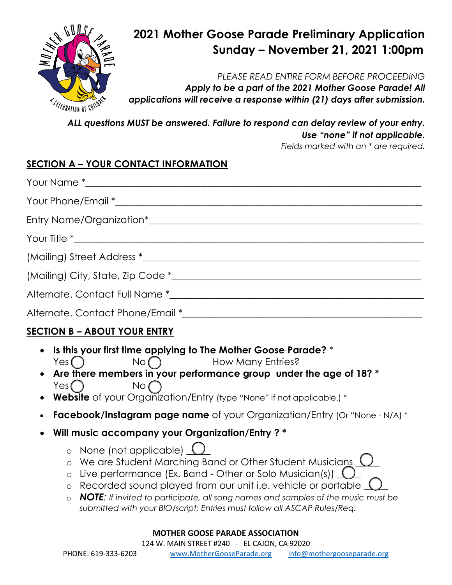

# **2021 Mother Goose Parade Preliminary Application Sunday – November 21, 2021 1:00pm**

*PLEASE READ ENTIRE FORM BEFORE PROCEEDING* 

*Apply to be a part of the 2021 Mother Goose Parade! All applications will receive a response within (21) days after submission.* 

*ALL questions MUST be answered. Failure to respond can delay review of your entry. Use "none" if not applicable.*

*Fields marked with an \* are required.* 

## **SECTION A – YOUR CONTACT INFORMATION**

### **SECTION B – ABOUT YOUR ENTRY**

- **Is this your first time applying to The Mother Goose Parade?** \*  $Yes \bigcap$  No  $\bigcap$  How Many Entries?
- **Are there members in your performance group under the age of 18? \*** Yes ( ) No
- **Website** of your Organization/Entry (type "None" if not applicable.) \*
- **Facebook/Instagram page name** of your Organization/Entry (Or "None N/A) \*
- **Will music accompany your Organization/Entry ? \***
	- o None (not applicable) (
	- o We are Student Marching Band or Other Student Musicians (
	- o Live performance (Ex. Band Other or Solo Musician(s)) (
	- o Recorded sound played from our unit i.e. vehicle or portable
	- o *NOTE: If invited to participate, all song names and samples of the music must be submitted with your BIO/script; Entries must follow all ASCAP Rules/Req.*

#### **MOTHER GOOSE PARADE ASSOCIATION**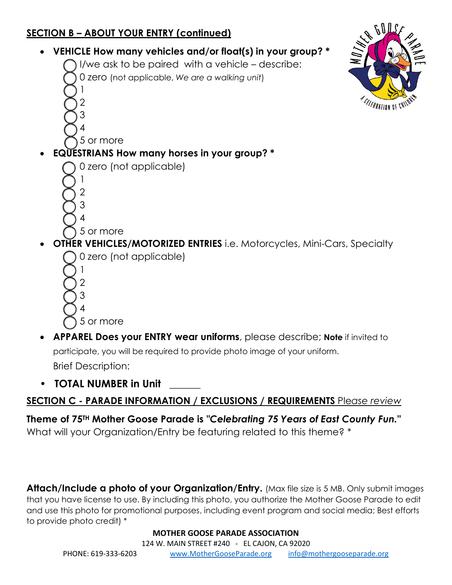## **SECTION B – ABOUT YOUR ENTRY (continued)**



participate, you will be required to provide photo image of your uniform. Brief Description:

**• TOTAL NUMBER in Unit \_\_\_\_\_\_**

### **SECTION C - PARADE INFORMATION / EXCLUSIONS / REQUIREMENTS** Ple*ase review*

**Theme of 75TH Mother Goose Parade is** *"Celebrating 75 Years of East County Fun."* What will your Organization/Entry be featuring related to this theme? \*

**Attach/Include a photo of your Organization/Entry.** (Max file size is 5 MB. Only submit images that you have license to use. By including this photo, you authorize the Mother Goose Parade to edit and use this photo for promotional purposes, including event program and social media; Best efforts to provide photo credit) \*

**MOTHER GOOSE PARADE ASSOCIATION**